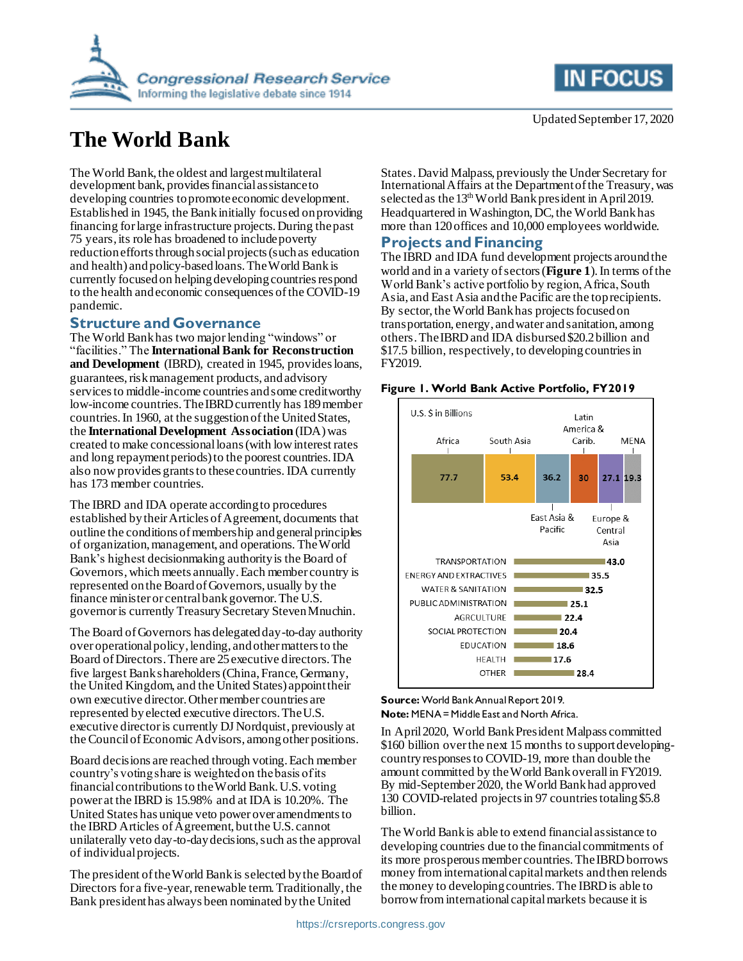

# **The World Bank**

The World Bank, the oldest and largest multilateral development bank, provides financial assistance to developing countries to promote economic development. Established in 1945, the Bank initially focused on providing financing for large infrastructure projects. During the past 75 years, its role has broadened to include poverty reduction efforts through social projects (such as education and health) and policy-based loans. The World Bank is currently focused on helping developing countries respond to the health and economic consequences of the COVID-19 pandemic.

### **Structure and Governance**

The World Bank has two major lending "windows" or "facilities." The **International Bank for Reconstruction and Development** (IBRD), created in 1945, provides loans, guarantees, risk management products, and advisory services to middle-income countries and some creditworthy low-income countries. The IBRD currently has 189 member countries.In 1960, at the suggestion of the United States, the **International Development Association** (IDA) was created to make concessional loans (with low interest rates and long repayment periods) to the poorest countries. IDA also now provides grants to these countries. IDA currently has 173 member countries.

The IBRD and IDA operate according to procedures established by their Articles of Agreement, documents that outline the conditions of membership and general principles of organization, management, and operations. TheWorld Bank's highest decisionmaking authority is the Board of Governors, which meets annually. Each member country is represented on the Board of Governors, usually by the finance minister or central bank governor. The U.S. governor is currently Treasury Secretary Steven Mnuchin.

The Board of Governors has delegated day-to-day authority over operational policy, lending, and other matters to the Board of Directors. There are 25 executive directors. The five largest Bank shareholders(China, France, Germany, the United Kingdom, and the United States) appoint their own executive director. Other member countries are represented by elected executive directors. The U.S. executive director is currently DJ Nordquist, previously at the Council of Economic Advisors, among other positions.

Board decisions are reached through voting. Each member country's voting share is weighted on the basis of its financial contributionsto the World Bank. U.S. voting power at the IBRD is 15.98% and at IDA is 10.20%. The United States has unique veto power over amendments to the IBRD Articles of Agreement, but the U.S. cannot unilaterally veto day-to-day decisions, such asthe approval of individual projects.

The president of the World Bank is selected by the Board of Directors for a five-year, renewable term. Traditionally, the Bank president has always been nominated by the United



States. David Malpass, previously the Under Secretary for International Affairs at the Department of the Treasury,was selected as the 13<sup>th</sup> World Bank president in April 2019. Headquartered in Washington, DC, the World Bank has more than 120 offices and 10,000 employees worldwide.

# **Projects and Financing**

The IBRD and IDA fund development projects around the world and in a variety of sectors (**[Figure 1](#page-0-0)**). In terms of the World Bank's active portfolio by region, Africa, South Asia, and East Asia and the Pacific are the top recipients. By sector, the World Bank has projects focused on transportation, energy, and water and sanitation, among others.The IBRD and IDA disbursed \$20.2 billion and \$17.5 billion, respectively, to developing countries in FY2019.

#### <span id="page-0-0"></span>**Figure 1. World Bank Active Portfolio, FY2019**



#### **Source:** World Bank Annual Report 2019. **Note:** MENA = Middle East and North Africa.

In April 2020, World Bank President Malpass committed \$160 billion over the next 15 months to support developingcountry responses to COVID-19, more than double the amount committed by the World Bank overallin FY2019. By mid-September 2020, the World Bank had approved 130 COVID-related projects in 97 countries totaling \$5.8 billion.

The World Bank is able to extend financial assistance to developing countries due to the financial commitments of its more prosperous member countries. The IBRD borrows money from international capital markets and then relends the money to developing countries. The IBRD is able to borrow from international capital markets because it is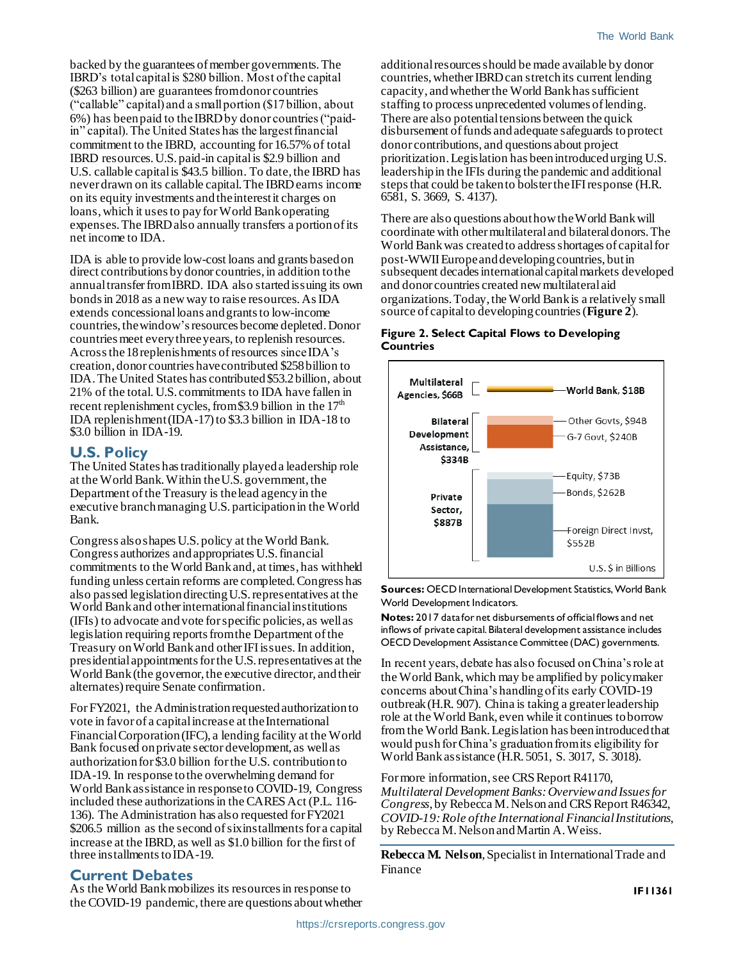backed by the guarantees of member governments. The IBRD's total capital is \$280 billion. Most of the capital (\$263 billion) are guarantees from donor countries ("callable" capital) and a small portion (\$17 billion, about 6%) has been paid to the IBRD by donor countries ("paidin" capital). The United States has the largest financial commitment to the IBRD, accounting for 16.57% of total IBRD resources. U.S. paid-in capital is \$2.9 billion and U.S. callable capital is \$43.5 billion. To date, the IBRD has never drawn on its callable capital. The IBRD earns income on its equity investments and the interest it charges on loans, which it uses to pay for World Bank operating expenses. The IBRD also annually transfers a portion of its net income to IDA.

IDA is able to provide low-cost loans and grants based on direct contributions by donor countries, in addition to the annual transfer from IBRD. IDA also started issuing its own bonds in 2018 as a new way to raise resources. As IDA extends concessional loans and grants to low-income countries, the window'sresources become depleted. Donor countries meet every three years, to replenish resources. Across the 18replenishments of resources since IDA's creation, donor countries have contributed \$258 billion to IDA. The United States has contributed \$53.2 billion, about 21% of the total. U.S. commitments to IDA have fallen in recent replenishment cycles, from \$3.9 billion in the  $17<sup>th</sup>$ IDA replenishment (IDA-17) to \$3.3 billion in IDA-18 to \$3.0 billion in IDA-19.

## **U.S. Policy**

The United States has traditionally played a leadership role at the World Bank. Within the U.S. government, the Department of the Treasury is the lead agency in the executive branch managing U.S. participation in the World Bank.

Congress also shapes U.S. policy at the World Bank. Congress authorizes and appropriates U.S. financial commitments to the World Bank and, at times, has withheld funding unless certain reforms are completed. Congress has also passed legislation directing U.S. representatives at the World Bank and other international financial institutions (IFIs) to advocate and vote for specific policies, as well as legislation requiring reports from the Department of the Treasury on World Bank and other IFI issues. In addition, presidential appointments for the U.S. representatives at the World Bank (the governor, the executive director, and their alternates) require Senate confirmation.

For FY2021, the Administration requested authorization to vote in favor of a capital increase at the International Financial Corporation (IFC), a lending facility at the World Bank focused on private sector development, as well as authorization for \$3.0 billion for the U.S. contribution to IDA-19. In response to the overwhelming demand for World Bank assistance in response to COVID-19, Congress included these authorizations in the CARES Act (P.L. 116-136). The Administration has also requested for FY2021 \$206.5 million as the second of six installments for a capital increase at the IBRD, as well as \$1.0 billion for the first of three installments to IDA-19.

# **Current Debates**

As the World Bank mobilizes its resources in response to the COVID-19 pandemic, there are questions about whether additional resources should be made available by donor countries, whether IBRD can stretch its current lending capacity, andwhether the World Bank has sufficient staffing to process unprecedented volumes of lending. There are also potential tensions between the quick disbursement of funds and adequate safeguards to protect donor contributions, and questions about project prioritization.Legislation has been introduced urging U.S. leadership in the IFIs during the pandemic and additional steps that could be taken to bolster the IFI response (H.R. 6581, S. 3669, S. 4137).

There are also questions about how the World Bank will coordinate with other multilateral and bilateral donors. The World Bank was created to address shortages of capital for post-WWII Europe and developing countries, but in subsequent decades international capital markets developed and donor countries created new multilateral aid organizations. Today, the World Bank is a relatively small source of capital to developing countries (**[Figure 2](#page-1-0)**).

#### <span id="page-1-0"></span>**Figure 2. Select Capital Flows to Developing Countries**



**Sources:** OECD International Development Statistics, World Bank World Development Indicators.

**Notes:** 2017 data for net disbursements of official flows and net inflows of private capital. Bilateral development assistance includes OECD Development Assistance Committee (DAC) governments.

In recent years, debate has also focused on China's role at the World Bank, which may be amplified by policymaker concerns about China's handling of its early COVID-19 outbreak (H.R. 907). China is taking a greater leadership role at the World Bank, even while it continues to borrow from the World Bank. Legislation has been introduced that would push for China's graduation from its eligibility for World Bank assistance (H.R. 5051, S. 3017, S. 3018).

For more information, see CRS Report R41170, *Multilateral Development Banks: Overview and Issues for Congress*, by Rebecca M. Nelson and CRS Report R46342, *COVID-19: Role of the International Financial Institutions*, by Rebecca M. Nelson and Martin A. Weiss.

**Rebecca M. Nelson**, Specialist in International Trade and Finance